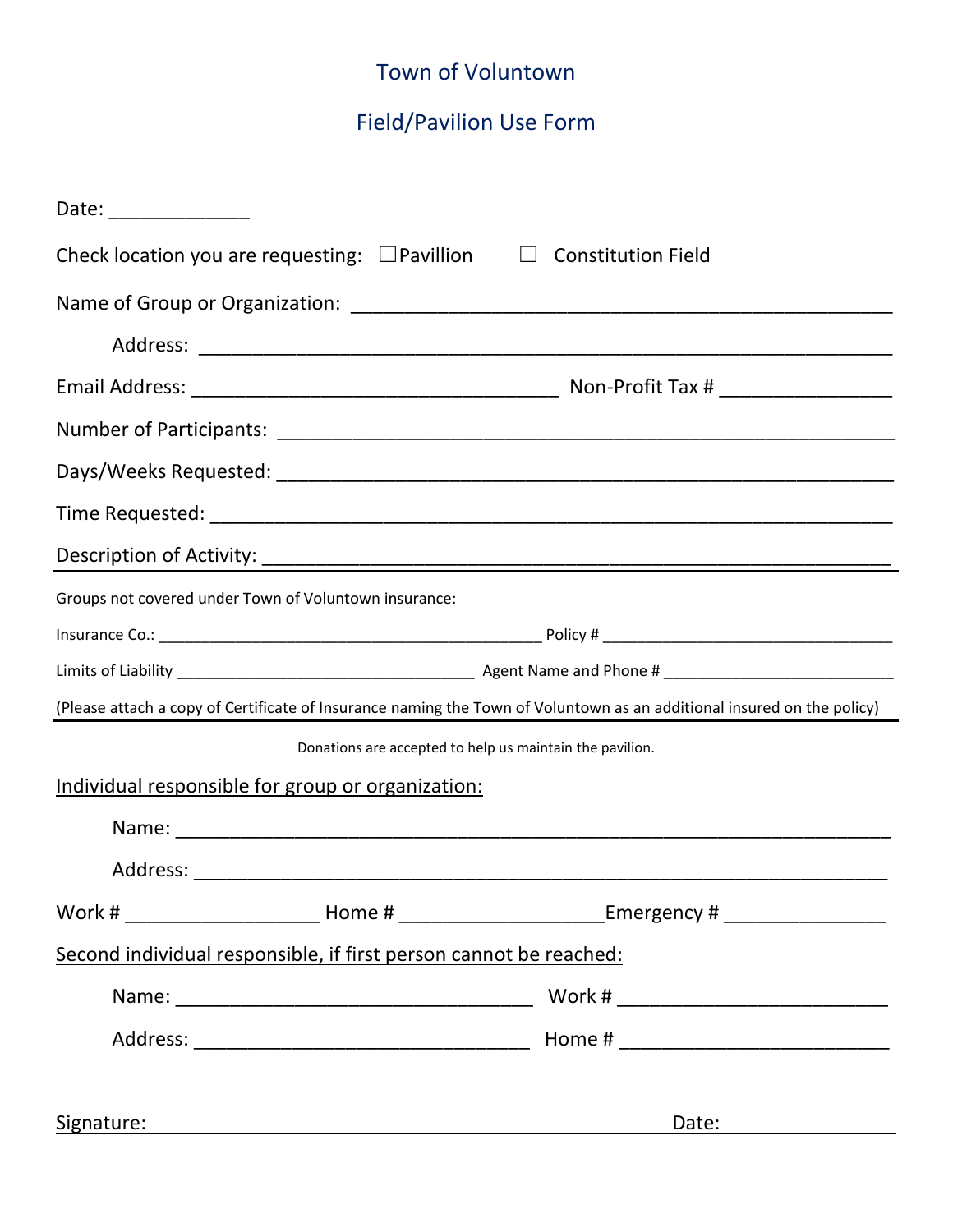## Town of Voluntown

## Field/Pavilion Use Form

| Date: _______________                                                                                                  |                                                                                                                                                                                                                                |
|------------------------------------------------------------------------------------------------------------------------|--------------------------------------------------------------------------------------------------------------------------------------------------------------------------------------------------------------------------------|
| Check location you are requesting: $\square$ Pavillion $\square$ Constitution Field                                    |                                                                                                                                                                                                                                |
|                                                                                                                        |                                                                                                                                                                                                                                |
|                                                                                                                        |                                                                                                                                                                                                                                |
|                                                                                                                        |                                                                                                                                                                                                                                |
|                                                                                                                        |                                                                                                                                                                                                                                |
|                                                                                                                        |                                                                                                                                                                                                                                |
|                                                                                                                        |                                                                                                                                                                                                                                |
|                                                                                                                        |                                                                                                                                                                                                                                |
| Groups not covered under Town of Voluntown insurance:                                                                  |                                                                                                                                                                                                                                |
|                                                                                                                        |                                                                                                                                                                                                                                |
|                                                                                                                        |                                                                                                                                                                                                                                |
| (Please attach a copy of Certificate of Insurance naming the Town of Voluntown as an additional insured on the policy) |                                                                                                                                                                                                                                |
| Donations are accepted to help us maintain the pavilion.                                                               |                                                                                                                                                                                                                                |
| Individual responsible for group or organization:                                                                      |                                                                                                                                                                                                                                |
|                                                                                                                        |                                                                                                                                                                                                                                |
|                                                                                                                        |                                                                                                                                                                                                                                |
|                                                                                                                        |                                                                                                                                                                                                                                |
| Second individual responsible, if first person cannot be reached:                                                      |                                                                                                                                                                                                                                |
|                                                                                                                        |                                                                                                                                                                                                                                |
|                                                                                                                        |                                                                                                                                                                                                                                |
|                                                                                                                        |                                                                                                                                                                                                                                |
| Signature: National Accounts and Accounts and Accounts and Accounts and Accounts and Accounts and Accounts and         | Date: the contract of the contract of the contract of the contract of the contract of the contract of the contract of the contract of the contract of the contract of the contract of the contract of the contract of the cont |